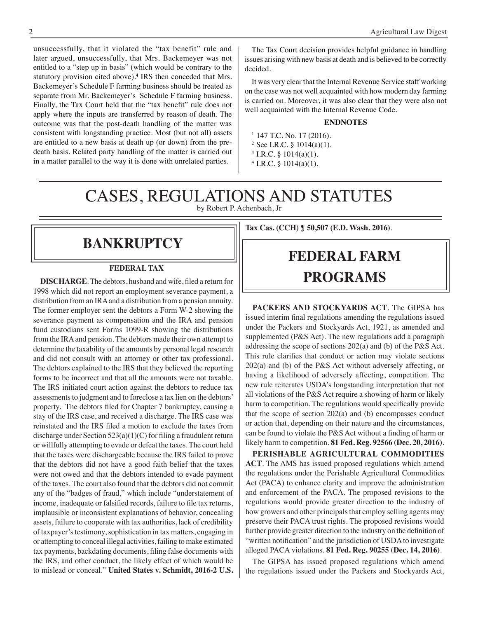unsuccessfully, that it violated the "tax benefit" rule and later argued, unsuccessfully, that Mrs. Backemeyer was not entitled to a "step up in basis" (which would be contrary to the statutory provision cited above).**<sup>4</sup>** IRS then conceded that Mrs. Backemeyer's Schedule F farming business should be treated as separate from Mr. Backemeyer's Schedule F farming business. Finally, the Tax Court held that the "tax benefit" rule does not apply where the inputs are transferred by reason of death. The outcome was that the post-death handling of the matter was consistent with longstanding practice. Most (but not all) assets are entitled to a new basis at death up (or down) from the predeath basis. Related party handling of the matter is carried out in a matter parallel to the way it is done with unrelated parties.

The Tax Court decision provides helpful guidance in handling issues arising with new basis at death and is believed to be correctly decided.

It was very clear that the Internal Revenue Service staff working on the case was not well acquainted with how modern day farming is carried on. Moreover, it was also clear that they were also not well acquainted with the Internal Revenue Code.

#### **ENDNOTES**

- $1$  147 T.C. No. 17 (2016). <sup>2</sup> See I.R.C. §  $1014(a)(1)$ .  $3$  I.R.C. § 1014(a)(1).
- $4$  I.R.C. § 1014(a)(1).

# CASES, REGULATIONS AND STATUTES

by Robert P. Achenbach, Jr

## **bankruptcy**

#### **FEDERAL TAX**

**DISCHARGE**.The debtors, husband and wife, filed a return for 1998 which did not report an employment severance payment, a distribution from an IRA and a distribution from a pension annuity. The former employer sent the debtors a Form W-2 showing the severance payment as compensation and the IRA and pension fund custodians sent Forms 1099-R showing the distributions from the IRA and pension. The debtors made their own attempt to determine the taxability of the amounts by personal legal research and did not consult with an attorney or other tax professional. The debtors explained to the IRS that they believed the reporting forms to be incorrect and that all the amounts were not taxable. The IRS initiated court action against the debtors to reduce tax assessments to judgment and to foreclose a tax lien on the debtors' property. The debtors filed for Chapter 7 bankruptcy, causing a stay of the IRS case, and received a discharge. The IRS case was reinstated and the IRS filed a motion to exclude the taxes from discharge under Section 523(a)(1)(C) for filing a fraudulent return or willfully attempting to evade or defeat the taxes. The court held that the taxes were dischargeable because the IRS failed to prove that the debtors did not have a good faith belief that the taxes were not owed and that the debtors intended to evade payment of the taxes. The court also found that the debtors did not commit any of the "badges of fraud," which include "understatement of income, inadequate or falsified records, failure to file tax returns, implausible or inconsistent explanations of behavior, concealing assets, failure to cooperate with tax authorities, lack of credibility of taxpayer's testimony, sophistication in tax matters, engaging in or attempting to conceal illegal activities, failing to make estimated tax payments, backdating documents, filing false documents with the IRS, and other conduct, the likely effect of which would be to mislead or conceal." **United States v. Schmidt, 2016-2 U.S.** 

# **Tax Cas. (CCH) ¶ 50,507 (E.D. Wash. 2016)**.

## **federal FARM PROGRAMS**

**PACKERS AND STOCKYARDS ACT**. The GIPSA has issued interim final regulations amending the regulations issued under the Packers and Stockyards Act, 1921, as amended and supplemented (P&S Act). The new regulations add a paragraph addressing the scope of sections 202(a) and (b) of the P&S Act. This rule clarifies that conduct or action may violate sections 202(a) and (b) of the P&S Act without adversely affecting, or having a likelihood of adversely affecting, competition. The new rule reiterates USDA's longstanding interpretation that not all violations of the P&S Act require a showing of harm or likely harm to competition. The regulations would specifically provide that the scope of section 202(a) and (b) encompasses conduct or action that, depending on their nature and the circumstances, can be found to violate the P&S Act without a finding of harm or likely harm to competition. **81 Fed. Reg. 92566 (Dec. 20, 2016)**.

**PERISHABLE AGRICULTURAL COMMODITIES ACT**. The AMS has issued proposed regulations which amend the regulations under the Perishable Agricultural Commodities Act (PACA) to enhance clarity and improve the administration and enforcement of the PACA. The proposed revisions to the regulations would provide greater direction to the industry of how growers and other principals that employ selling agents may preserve their PACA trust rights. The proposed revisions would further provide greater direction to the industry on the definition of "written notification" and the jurisdiction of USDA to investigate alleged PACA violations. **81 Fed. Reg. 90255 (Dec. 14, 2016)**.

The GIPSA has issued proposed regulations which amend the regulations issued under the Packers and Stockyards Act,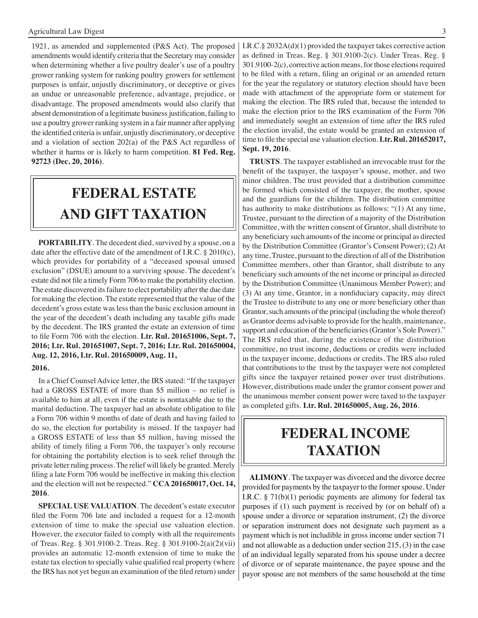1921, as amended and supplemented (P&S Act). The proposed amendments would identify criteria that the Secretary may consider when determining whether a live poultry dealer's use of a poultry grower ranking system for ranking poultry growers for settlement purposes is unfair, unjustly discriminatory, or deceptive or gives an undue or unreasonable preference, advantage, prejudice, or disadvantage. The proposed amendments would also clarify that absent demonstration of a legitimate business justification, failing to use a poultry grower ranking system in a fair manner after applying the identified criteria is unfair, unjustly discriminatory, or deceptive and a violation of section 202(a) of the P&S Act regardless of whether it harms or is likely to harm competition. **81 Fed. Reg. 92723 (Dec. 20, 2016)**.

## **FEDERAL ESTATE AND GIFT taxation**

**PORTABILITY**. The decedent died, survived by a spouse, on a date after the effective date of the amendment of I.R.C. § 2010(c), which provides for portability of a "deceased spousal unused exclusion" (DSUE) amount to a surviving spouse. The decedent's estate did not file a timely Form 706 to make the portability election. The estate discovered its failure to elect portability after the due date for making the election. The estate represented that the value of the decedent's gross estate was less than the basic exclusion amount in the year of the decedent's death including any taxable gifts made by the decedent. The IRS granted the estate an extension of time to file Form 706 with the election. **Ltr. Rul. 201651006, Sept. 7, 2016; Ltr. Rul. 201651007, Sept. 7, 2016; Ltr. Rul. 201650004, Aug. 12, 2016, Ltr. Rul. 201650009, Aug. 11,**

#### **2016.**

In a Chief Counsel Advice letter, the IRS stated: "If the taxpayer had a GROSS ESTATE of more than \$5 million – no relief is available to him at all, even if the estate is nontaxable due to the marital deduction. The taxpayer had an absolute obligation to file a Form 706 within 9 months of date of death and having failed to do so, the election for portability is missed. If the taxpayer had a GROSS ESTATE of less than \$5 million, having missed the ability of timely filing a Form 706, the taxpayer's only recourse for obtaining the portability election is to seek relief through the private letter ruling process. The relief will likely be granted. Merely filing a late Form 706 would be ineffective in making this election and the election will not be respected." **CCA 201650017, Oct. 14, 2016**.

**SPECIAL USE VALUATION**. The decedent's estate executor filed the Form 706 late and included a request for a 12-month extension of time to make the special use valuation election. However, the executor failed to comply with all the requirements of Treas. Reg. § 301.9100-2. Treas. Reg. § 301.9100-2(a)(2)(vii) provides an automatic 12-month extension of time to make the estate tax election to specially value qualified real property (where the IRS has not yet begun an examination of the filed return) under

I.R.C.§ 2032A(d)(1) provided the taxpayer takes corrective action as defined in Treas. Reg. § 301.9100-2(c). Under Treas. Reg. § 301.9100-2(c), corrective action means, for those elections required to be filed with a return, filing an original or an amended return for the year the regulatory or statutory election should have been made with attachment of the appropriate form or statement for making the election. The IRS ruled that, because the intended to make the election prior to the IRS examination of the Form 706 and immediately sought an extension of time after the IRS ruled the election invalid, the estate would be granted an extension of time to file the special use valuation election. **Ltr. Rul. 201652017, Sept. 19, 2016**.

**TRUSTS**. The taxpayer established an irrevocable trust for the benefit of the taxpayer, the taxpayer's spouse, mother, and two minor children. The trust provided that a distribution committee be formed which consisted of the taxpayer, the mother, spouse and the guardians for the children. The distribution committee has authority to make distributions as follows: "(1) At any time, Trustee, pursuant to the direction of a majority of the Distribution Committee, with the written consent of Grantor, shall distribute to any beneficiary such amounts of the income or principal as directed by the Distribution Committee (Grantor's Consent Power); (2) At any time, Trustee, pursuant to the direction of all of the Distribution Committee members, other than Grantor, shall distribute to any beneficiary such amounts of the net income or principal as directed by the Distribution Committee (Unanimous Member Power); and (3) At any time, Grantor, in a nonfiduciary capacity, may direct the Trustee to distribute to any one or more beneficiary other than Grantor, such amounts of the principal (including the whole thereof) as Grantor deems advisable to provide for the health, maintenance, support and education of the beneficiaries(Grantor's Sole Power)." The IRS ruled that, during the existence of the distribution committee, no trust income, deductions or credits were included in the taxpayer income, deductions or credits. The IRS also ruled that contributions to the trust by the taxpayer were not completed gifts since the taxpayer retained power over trust distributions. However, distributions made under the grantor consent power and the unanimous member consent power were taxed to the taxpayer as completed gifts. **Ltr. Rul. 201650005, Aug. 26, 2016**.

## **federal income taxation**

**ALIMONY**. The taxpayer was divorced and the divorce decree provided for payments by the taxpayer to the former spouse. Under I.R.C. § 71(b)(1) periodic payments are alimony for federal tax purposes if (1) such payment is received by (or on behalf of) a spouse under a divorce or separation instrument, (2) the divorce or separation instrument does not designate such payment as a payment which is not includible in gross income under section 71 and not allowable as a deduction under section 215, (3) in the case of an individual legally separated from his spouse under a decree of divorce or of separate maintenance, the payee spouse and the payor spouse are not members of the same household at the time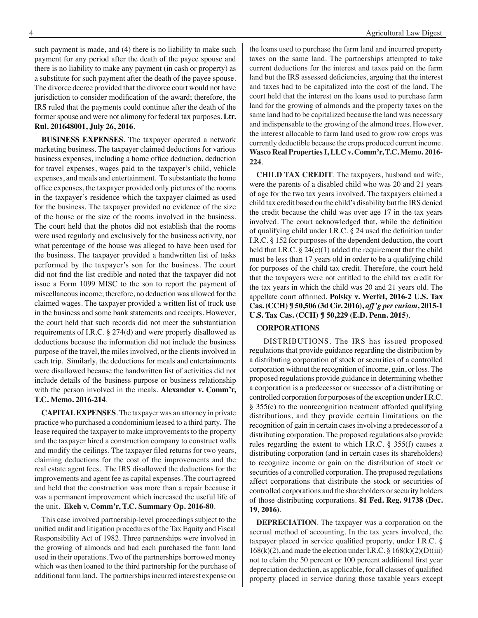such payment is made, and (4) there is no liability to make such payment for any period after the death of the payee spouse and there is no liability to make any payment (in cash or property) as a substitute for such payment after the death of the payee spouse. The divorce decree provided that the divorce court would not have jurisdiction to consider modification of the award; therefore, the IRS ruled that the payments could continue after the death of the former spouse and were not alimony for federal tax purposes. **Ltr. Rul. 201648001, July 26, 2016**.

**BUSINESS EXPENSES**. The taxpayer operated a network marketing business. The taxpayer claimed deductions for various business expenses, including a home office deduction, deduction for travel expenses, wages paid to the taxpayer's child, vehicle expenses, and meals and entertainment. To substantiate the home office expenses, the taxpayer provided only pictures of the rooms in the taxpayer's residence which the taxpayer claimed as used for the business. The taxpayer provided no evidence of the size of the house or the size of the rooms involved in the business. The court held that the photos did not establish that the rooms were used regularly and exclusively for the business activity, nor what percentage of the house was alleged to have been used for the business. The taxpayer provided a handwritten list of tasks performed by the taxpayer's son for the business. The court did not find the list credible and noted that the taxpayer did not issue a Form 1099 MISC to the son to report the payment of miscellaneous income; therefore, no deduction was allowed for the claimed wages. The taxpayer provided a written list of truck use in the business and some bank statements and receipts. However, the court held that such records did not meet the substantiation requirements of I.R.C. § 274(d) and were properly disallowed as deductions because the information did not include the business purpose of the travel, the miles involved, or the clients involved in each trip. Similarly, the deductions for meals and entertainments were disallowed because the handwritten list of activities did not include details of the business purpose or business relationship with the person involved in the meals. **Alexander v. Comm'r, T.C. Memo. 2016-214**.

**CAPITAL EXPENSES**. The taxpayer was an attorney in private practice who purchased a condominium leased to a third party. The lease required the taxpayer to make improvements to the property and the taxpayer hired a construction company to construct walls and modify the ceilings. The taxpayer filed returns for two years, claiming deductions for the cost of the improvements and the real estate agent fees. The IRS disallowed the deductions for the improvements and agent fee as capital expenses. The court agreed and held that the construction was more than a repair because it was a permanent improvement which increased the useful life of the unit. **Ekeh v. Comm'r, T.C. Summary Op. 2016-80**.

This case involved partnership-level proceedings subject to the unified audit and litigation procedures of the Tax Equity and Fiscal Responsibility Act of 1982. Three partnerships were involved in the growing of almonds and had each purchased the farm land used in their operations. Two of the partnerships borrowed money which was then loaned to the third partnership for the purchase of additional farm land. The partnerships incurred interest expense on

the loans used to purchase the farm land and incurred property taxes on the same land. The partnerships attempted to take current deductions for the interest and taxes paid on the farm land but the IRS assessed deficiencies, arguing that the interest and taxes had to be capitalized into the cost of the land. The court held that the interest on the loans used to purchase farm land for the growing of almonds and the property taxes on the same land had to be capitalized because the land was necessary and indispensable to the growing of the almond trees. However, the interest allocable to farm land used to grow row crops was currently deductible because the crops produced current income. **Wasco Real Properties I, LLC v. Comm'r, T.C. Memo. 2016- 224**.

**CHILD TAX CREDIT**. The taxpayers, husband and wife, were the parents of a disabled child who was 20 and 21 years of age for the two tax years involved. The taxpayers claimed a child tax credit based on the child's disability but the IRS denied the credit because the child was over age 17 in the tax years involved. The court acknowledged that, while the definition of qualifying child under I.R.C. § 24 used the definition under I.R.C. § 152 for purposes of the dependent deduction, the court held that I.R.C.  $\S 24(c)(1)$  added the requirement that the child must be less than 17 years old in order to be a qualifying child for purposes of the child tax credit. Therefore, the court held that the taxpayers were not entitled to the child tax credit for the tax years in which the child was 20 and 21 years old. The appellate court affirmed. **Polsky v. Werfel, 2016-2 U.S. Tax Cas. (CCH) ¶ 50,506 (3d Cir. 2016),** *aff'g per curiam***, 2015-1 U.S. Tax Cas. (CCH) ¶ 50,229 (E.D. Penn. 2015)**.

#### **CORPORATIONS**

 DISTRIBUTIONS. The IRS has issued proposed regulations that provide guidance regarding the distribution by a distributing corporation of stock or securities of a controlled corporation without the recognition of income, gain, or loss. The proposed regulations provide guidance in determining whether a corporation is a predecessor or successor of a distributing or controlled corporation for purposes of the exception under I.R.C. § 355(e) to the nonrecognition treatment afforded qualifying distributions, and they provide certain limitations on the recognition of gain in certain cases involving a predecessor of a distributing corporation. The proposed regulations also provide rules regarding the extent to which I.R.C. § 355(f) causes a distributing corporation (and in certain cases its shareholders) to recognize income or gain on the distribution of stock or securities of a controlled corporation. The proposed regulations affect corporations that distribute the stock or securities of controlled corporations and the shareholders or security holders of those distributing corporations. **81 Fed. Reg. 91738 (Dec. 19, 2016)**.

**DEPRECIATION**. The taxpayer was a corporation on the accrual method of accounting. In the tax years involved, the taxpayer placed in service qualified property, under I.R.C. §  $168(k)(2)$ , and made the election under I.R.C. §  $168(k)(2)(D)(iii)$ not to claim the 50 percent or 100 percent additional first year depreciation deduction, as applicable, for all classes of qualified property placed in service during those taxable years except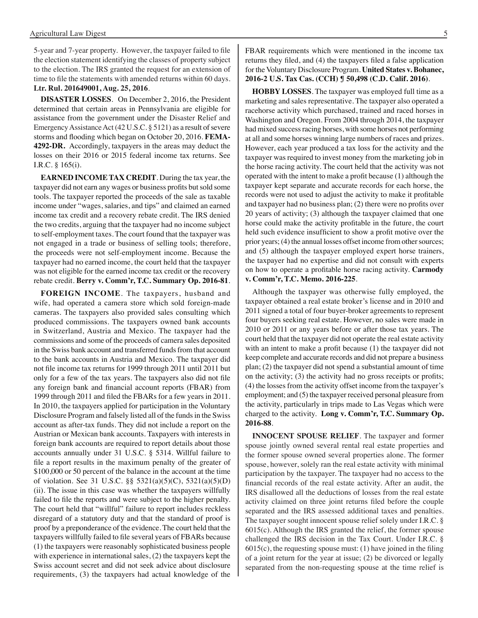5-year and 7-year property. However, the taxpayer failed to file the election statement identifying the classes of property subject to the election. The IRS granted the request for an extension of time to file the statements with amended returns within 60 days. **Ltr. Rul. 201649001, Aug. 25, 2016**.

**DISASTER LOSSES**. On December 2, 2016, the President determined that certain areas in Pennsylvania are eligible for assistance from the government under the Disaster Relief and Emergency Assistance Act (42 U.S.C. § 5121) as a result of severe storms and flooding which began on October 20, 2016. **FEMA-4292-DR.** Accordingly, taxpayers in the areas may deduct the losses on their 2016 or 2015 federal income tax returns. See I.R.C. § 165(i).

**EARNED INCOME TAX CREDIT**. During the tax year, the taxpayer did not earn any wages or business profits but sold some tools. The taxpayer reported the proceeds of the sale as taxable income under "wages, salaries, and tips" and claimed an earned income tax credit and a recovery rebate credit. The IRS denied the two credits, arguing that the taxpayer had no income subject to self-employment taxes. The court found that the taxpayer was not engaged in a trade or business of selling tools; therefore, the proceeds were not self-employment income. Because the taxpayer had no earned income, the court held that the taxpayer was not eligible for the earned income tax credit or the recovery rebate credit. **Berry v. Comm'r, T.C. Summary Op. 2016-81**.

**FOREIGN INCOME**. The taxpayers, husband and wife, had operated a camera store which sold foreign-made cameras. The taxpayers also provided sales consulting which produced commissions. The taxpayers owned bank accounts in Switzerland, Austria and Mexico. The taxpayer had the commissions and some of the proceeds of camera sales deposited in the Swiss bank account and transferred funds from that account to the bank accounts in Austria and Mexico. The taxpayer did not file income tax returns for 1999 through 2011 until 2011 but only for a few of the tax years. The taxpayers also did not file any foreign bank and financial account reports (FBAR) from 1999 through 2011 and filed the FBARs for a few years in 2011. In 2010, the taxpayers applied for participation in the Voluntary Disclosure Program and falsely listed all of the funds in the Swiss account as after-tax funds. They did not include a report on the Austrian or Mexican bank accounts. Taxpayers with interests in foreign bank accounts are required to report details about those accounts annually under 31 U.S.C. § 5314. Willful failure to file a report results in the maximum penalty of the greater of \$100,000 or 50 percent of the balance in the account at the time of violation. See 31 U.S.C. §§ 5321(a)(5)(C), 5321(a)(5)(D) (ii). The issue in this case was whether the taxpayers willfully failed to file the reports and were subject to the higher penalty. The court held that "willful" failure to report includes reckless disregard of a statutory duty and that the standard of proof is proof by a preponderance of the evidence. The court held that the taxpayers willfully failed to file several years of FBARs because (1) the taxpayers were reasonably sophisticated business people with experience in international sales, (2) the taxpayers kept the Swiss account secret and did not seek advice about disclosure requirements, (3) the taxpayers had actual knowledge of the

FBAR requirements which were mentioned in the income tax returns they filed, and (4) the taxpayers filed a false application for the Voluntary Disclosure Program. **United States v. Bohanec, 2016-2 U.S. Tax Cas. (CCH) ¶ 50,498 (C.D. Calif. 2016)**.

**HOBBY LOSSES**. The taxpayer was employed full time as a marketing and sales representative. The taxpayer also operated a racehorse activity which purchased, trained and raced horses in Washington and Oregon. From 2004 through 2014, the taxpayer had mixed success racing horses, with some horses not performing at all and some horses winning large numbers of races and prizes. However, each year produced a tax loss for the activity and the taxpayer was required to invest money from the marketing job in the horse racing activity. The court held that the activity was not operated with the intent to make a profit because (1) although the taxpayer kept separate and accurate records for each horse, the records were not used to adjust the activity to make it profitable and taxpayer had no business plan; (2) there were no profits over 20 years of activity; (3) although the taxpayer claimed that one horse could make the activity profitable in the future, the court held such evidence insufficient to show a profit motive over the prior years; (4) the annual losses offset income from other sources; and (5) although the taxpayer employed expert horse trainers, the taxpayer had no expertise and did not consult with experts on how to operate a profitable horse racing activity. **Carmody v. Comm'r, T.C. Memo. 2016-225**.

Although the taxpayer was otherwise fully employed, the taxpayer obtained a real estate broker's license and in 2010 and 2011 signed a total of four buyer-broker agreements to represent four buyers seeking real estate. However, no sales were made in 2010 or 2011 or any years before or after those tax years. The court held that the taxpayer did not operate the real estate activity with an intent to make a profit because (1) the taxpayer did not keep complete and accurate records and did not prepare a business plan; (2) the taxpayer did not spend a substantial amount of time on the activity; (3) the activity had no gross receipts or profits; (4) the losses from the activity offset income from the taxpayer's employment; and (5) the taxpayer received personal pleasure from the activity, particularly in trips made to Las Vegas which were charged to the activity. **Long v. Comm'r, T.C. Summary Op. 2016-88**.

**INNOCENT SPOUSE RELIEF**. The taxpayer and former spouse jointly owned several rental real estate properties and the former spouse owned several properties alone. The former spouse, however, solely ran the real estate activity with minimal participation by the taxpayer. The taxpayer had no access to the financial records of the real estate activity. After an audit, the IRS disallowed all the deductions of losses from the real estate activity claimed on three joint returns filed before the couple separated and the IRS assessed additional taxes and penalties. The taxpayer sought innocent spouse relief solely under I.R.C. § 6015(c). Although the IRS granted the relief, the former spouse challenged the IRS decision in the Tax Court. Under I.R.C. § 6015(c), the requesting spouse must: (1) have joined in the filing of a joint return for the year at issue; (2) be divorced or legally separated from the non-requesting spouse at the time relief is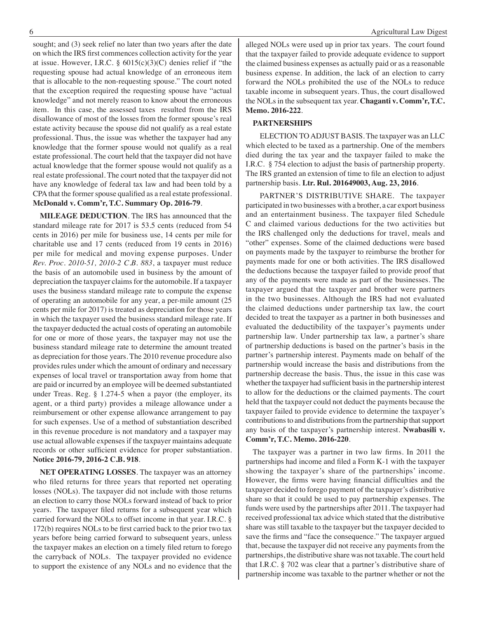sought; and (3) seek relief no later than two years after the date on which the IRS first commences collection activity for the year at issue. However, I.R.C.  $\S$  6015(c)(3)(C) denies relief if "the requesting spouse had actual knowledge of an erroneous item that is allocable to the non-requesting spouse." The court noted that the exception required the requesting spouse have "actual knowledge" and not merely reason to know about the erroneous item. In this case, the assessed taxes resulted from the IRS disallowance of most of the losses from the former spouse's real estate activity because the spouse did not qualify as a real estate professional. Thus, the issue was whether the taxpayer had any knowledge that the former spouse would not qualify as a real estate professional. The court held that the taxpayer did not have actual knowledge that the former spouse would not qualify as a real estate professional. The court noted that the taxpayer did not have any knowledge of federal tax law and had been told by a CPA that the former spouse qualified as a real estate professional. **McDonald v. Comm'r, T.C. Summary Op. 2016-79**.

**MILEAGE DEDUCTION**. The IRS has announced that the standard mileage rate for 2017 is 53.5 cents (reduced from 54 cents in 2016) per mile for business use, 14 cents per mile for charitable use and 17 cents (reduced from 19 cents in 2016) per mile for medical and moving expense purposes. Under *Rev. Proc. 2010-51, 2010-2 C.B. 883*, a taxpayer must reduce the basis of an automobile used in business by the amount of depreciation the taxpayer claims for the automobile. If a taxpayer uses the business standard mileage rate to compute the expense of operating an automobile for any year, a per-mile amount (25 cents per mile for 2017) is treated as depreciation for those years in which the taxpayer used the business standard mileage rate. If the taxpayer deducted the actual costs of operating an automobile for one or more of those years, the taxpayer may not use the business standard mileage rate to determine the amount treated as depreciation for those years. The 2010 revenue procedure also provides rules under which the amount of ordinary and necessary expenses of local travel or transportation away from home that are paid or incurred by an employee will be deemed substantiated under Treas. Reg. § 1.274-5 when a payor (the employer, its agent, or a third party) provides a mileage allowance under a reimbursement or other expense allowance arrangement to pay for such expenses. Use of a method of substantiation described in this revenue procedure is not mandatory and a taxpayer may use actual allowable expenses if the taxpayer maintains adequate records or other sufficient evidence for proper substantiation. **Notice 2016-79, 2016-2 C.B. 918**.

**NET OPERATING LOSSES**. The taxpayer was an attorney who filed returns for three years that reported net operating losses (NOLs). The taxpayer did not include with those returns an election to carry those NOLs forward instead of back to prior years. The taxpayer filed returns for a subsequent year which carried forward the NOLs to offset income in that year. I.R.C. § 172(b) requires NOLs to be first carried back to the prior two tax years before being carried forward to subsequent years, unless the taxpayer makes an election on a timely filed return to forego the carryback of NOLs. The taxpayer provided no evidence to support the existence of any NOLs and no evidence that the alleged NOLs were used up in prior tax years. The court found that the taxpayer failed to provide adequate evidence to support the claimed business expenses as actually paid or as a reasonable business expense. In addition, the lack of an election to carry forward the NOLs prohibited the use of the NOLs to reduce taxable income in subsequent years. Thus, the court disallowed the NOLs in the subsequent tax year. **Chaganti v. Comm'r, T.C. Memo. 2016-222**.

#### **PARTNERSHIPS**

 ELECTION TO ADJUST BASIS. The taxpayer was an LLC which elected to be taxed as a partnership. One of the members died during the tax year and the taxpayer failed to make the I.R.C. § 754 election to adjust the basis of partnership property. The IRS granted an extension of time to file an election to adjust partnership basis. **Ltr. Rul. 201649003, Aug. 23, 2016**.

PARTNER'S DISTRIBUTIVE SHARE. The taxpayer participated in two businesses with a brother, a car export business and an entertainment business. The taxpayer filed Schedule C and claimed various deductions for the two activities but the IRS challenged only the deductions for travel, meals and "other" expenses. Some of the claimed deductions were based on payments made by the taxpayer to reimburse the brother for payments made for one or both activities. The IRS disallowed the deductions because the taxpayer failed to provide proof that any of the payments were made as part of the businesses. The taxpayer argued that the taxpayer and brother were partners in the two businesses. Although the IRS had not evaluated the claimed deductions under partnership tax law, the court decided to treat the taxpayer as a partner in both businesses and evaluated the deductibility of the taxpayer's payments under partnership law. Under partnership tax law, a partner's share of partnership deductions is based on the partner's basis in the partner's partnership interest. Payments made on behalf of the partnership would increase the basis and distributions from the partnership decrease the basis. Thus, the issue in this case was whether the taxpayer had sufficient basis in the partnership interest to allow for the deductions or the claimed payments. The court held that the taxpayer could not deduct the payments because the taxpayer failed to provide evidence to determine the taxpayer's contributions to and distributions from the partnership that support any basis of the taxpayer's partnership interest. **Nwabasili v. Comm'r, T.C. Memo. 2016-220**.

 The taxpayer was a partner in two law firms. In 2011 the partnerships had income and filed a Form K-1 with the taxpayer showing the taxpayer's share of the partnerships' income. However, the firms were having financial difficulties and the taxpayer decided to forego payment of the taxpayer's distributive share so that it could be used to pay partnership expenses. The funds were used by the partnerships after 2011. The taxpayer had received professional tax advice which stated that the distributive share was still taxable to the taxpayer but the taxpayer decided to save the firms and "face the consequence." The taxpayer argued that, because the taxpayer did not receive any payments from the partnerships, the distributive share was not taxable. The court held that I.R.C. § 702 was clear that a partner's distributive share of partnership income was taxable to the partner whether or not the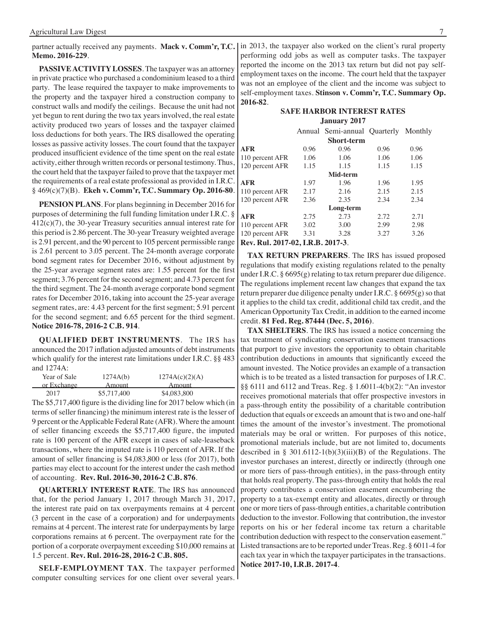**Memo. 2016-229**.

**PASSIVE ACTIVITY LOSSES**. The taxpayer was an attorney in private practice who purchased a condominium leased to a third party. The lease required the taxpayer to make improvements to the property and the taxpayer hired a construction company to construct walls and modify the ceilings. Because the unit had not yet begun to rent during the two tax years involved, the real estate activity produced two years of losses and the taxpayer claimed loss deductions for both years. The IRS disallowed the operating losses as passive activity losses. The court found that the taxpayer produced insufficient evidence of the time spent on the real estate activity, either through written records or personal testimony. Thus, the court held that the taxpayer failed to prove that the taxpayer met the requirements of a real estate professional as provided in I.R.C. § 469(c)(7)(B). **Ekeh v. Comm'r, T.C. Summary Op. 2016-80**.

**PENSION PLANS**. For plans beginning in December 2016 for purposes of determining the full funding limitation under I.R.C. § 412(c)(7), the 30-year Treasury securities annual interest rate for this period is 2.86 percent. The 30-year Treasury weighted average is 2.91 percent, and the 90 percent to 105 percent permissible range is 2.61 percent to 3.05 percent. The 24-month average corporate bond segment rates for December 2016, without adjustment by the 25-year average segment rates are: 1.55 percent for the first segment; 3.76 percent for the second segment; and 4.73 percent for the third segment. The 24-month average corporate bond segment rates for December 2016, taking into account the 25-year average segment rates, are: 4.43 percent for the first segment; 5.91 percent for the second segment; and 6.65 percent for the third segment. **Notice 2016-78, 2016-2 C.B. 914**.

**QUALIFIED DEBT INSTRUMENTS**. The IRS has announced the 2017 inflation adjusted amounts of debt instruments which qualify for the interest rate limitations under I.R.C. §§ 483 and 1274A:

| Year of Sale | 1274A(b)    | 1274A(c)(2)(A) |
|--------------|-------------|----------------|
| or Exchange  | Amount      | Amount         |
| 2017         | \$5,717,400 | \$4,083,800    |

The \$5,717,400 figure is the dividing line for 2017 below which (in terms of seller financing) the minimum interest rate is the lesser of 9 percent or the Applicable Federal Rate (AFR). Where the amount of seller financing exceeds the \$5,717,400 figure, the imputed rate is 100 percent of the AFR except in cases of sale-leaseback transactions, where the imputed rate is 110 percent of AFR. If the amount of seller financing is \$4,083,800 or less (for 2017), both parties may elect to account for the interest under the cash method of accounting. **Rev. Rul. 2016-30, 2016-2 C.B. 876**.

**QUARTERLY INTEREST RATE**. The IRS has announced that, for the period January 1, 2017 through March 31, 2017, the interest rate paid on tax overpayments remains at 4 percent (3 percent in the case of a corporation) and for underpayments remains at 4 percent. The interest rate for underpayments by large corporations remains at 6 percent. The overpayment rate for the portion of a corporate overpayment exceeding \$10,000 remains at 1.5 percent. **Rev. Rul. 2016-28, 2016-2 C.B. 805.**

**SELF-EMPLOYMENT TAX**. The taxpayer performed computer consulting services for one client over several years.

partner actually received any payments. Mack v. Comm'r, T.C. In 2013, the taxpayer also worked on the client's rural property performing odd jobs as well as computer tasks. The taxpayer reported the income on the 2013 tax return but did not pay selfemployment taxes on the income. The court held that the taxpayer was not an employee of the client and the income was subject to self-employment taxes. **Stinson v. Comm'r, T.C. Summary Op. 2016-82**.

#### **Safe Harbor interest rates January 2017**

|                                   |      | Annual Semi-annual Quarterly Monthly |      |      |
|-----------------------------------|------|--------------------------------------|------|------|
|                                   |      | <b>Short-term</b>                    |      |      |
| AFR                               | 0.96 | 0.96                                 | 0.96 | 0.96 |
| 110 percent AFR                   | 1.06 | 1.06                                 | 1.06 | 1.06 |
| 120 percent AFR                   | 1.15 | 1.15                                 | 1.15 | 1.15 |
|                                   |      | Mid-term                             |      |      |
| AFR                               | 1.97 | 1.96                                 | 1.96 | 1.95 |
| 110 percent AFR                   | 2.17 | 2.16                                 | 2.15 | 2.15 |
| 120 percent AFR                   | 2.36 | 2.35                                 | 2.34 | 2.34 |
|                                   |      | Long-term                            |      |      |
| AFR                               | 2.75 | 2.73                                 | 2.72 | 2.71 |
| 110 percent AFR                   | 3.02 | 3.00                                 | 2.99 | 2.98 |
| 120 percent AFR                   | 3.31 | 3.28                                 | 3.27 | 3.26 |
| Rev. Rul. 2017-02, I.R.B. 2017-3. |      |                                      |      |      |

**TAX RETURN PREPARERS**. The IRS has issued proposed regulations that modify existing regulations related to the penalty under I.R.C. § 6695(g) relating to tax return preparer due diligence. The regulations implement recent law changes that expand the tax return preparer due diligence penalty under I.R.C. § 6695(g) so that it applies to the child tax credit, additional child tax credit, and the American Opportunity Tax Credit, in addition to the earned income credit. **81 Fed. Reg. 87444 (Dec. 5, 2016)**.

**TAX SHELTERS**. The IRS has issued a notice concerning the tax treatment of syndicating conservation easement transactions that purport to give investors the opportunity to obtain charitable contribution deductions in amounts that significantly exceed the amount invested. The Notice provides an example of a transaction which is to be treated as a listed transaction for purposes of I.R.C. §§ 6111 and 6112 and Treas. Reg. § 1.6011-4(b)(2): "An investor receives promotional materials that offer prospective investors in a pass-through entity the possibility of a charitable contribution deduction that equals or exceeds an amount that is two and one-half times the amount of the investor's investment. The promotional materials may be oral or written. For purposes of this notice, promotional materials include, but are not limited to, documents described in § 301.6112-1(b)(3)(iii)(B) of the Regulations. The investor purchases an interest, directly or indirectly (through one or more tiers of pass-through entities), in the pass-through entity that holds real property. The pass-through entity that holds the real property contributes a conservation easement encumbering the property to a tax-exempt entity and allocates, directly or through one or more tiers of pass-through entities, a charitable contribution deduction to the investor. Following that contribution, the investor reports on his or her federal income tax return a charitable contribution deduction with respect to the conservation easement." Listed transactions are to be reported under Treas. Reg. § 6011-4 for each tax year in which the taxpayer participates in the transactions. **Notice 2017-10, I.R.B. 2017-4**.